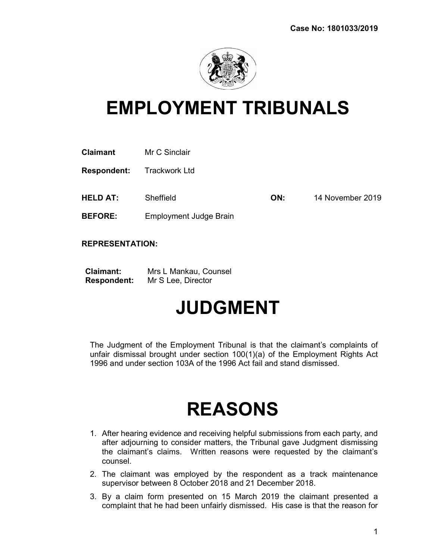

## EMPLOYMENT TRIBUNALS

| <b>Claimant</b> | Mr C Sinclair |
|-----------------|---------------|
|-----------------|---------------|

Respondent: Trackwork Ltd

**HELD AT:** Sheffield **CON:** 14 November 2019

BEFORE: Employment Judge Brain

REPRESENTATION:

| <b>Claimant:</b>   | Mrs L Mankau, Counsel |
|--------------------|-----------------------|
| <b>Respondent:</b> | Mr S Lee, Director    |

## JUDGMENT

The Judgment of the Employment Tribunal is that the claimant's complaints of unfair dismissal brought under section 100(1)(a) of the Employment Rights Act 1996 and under section 103A of the 1996 Act fail and stand dismissed.

## REASONS

- 1. After hearing evidence and receiving helpful submissions from each party, and after adjourning to consider matters, the Tribunal gave Judgment dismissing the claimant's claims. Written reasons were requested by the claimant's counsel.
- 2. The claimant was employed by the respondent as a track maintenance supervisor between 8 October 2018 and 21 December 2018.
- 3. By a claim form presented on 15 March 2019 the claimant presented a complaint that he had been unfairly dismissed. His case is that the reason for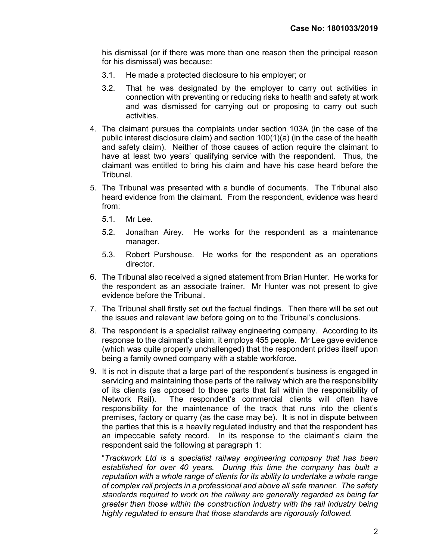his dismissal (or if there was more than one reason then the principal reason for his dismissal) was because:

- 3.1. He made a protected disclosure to his employer; or
- 3.2. That he was designated by the employer to carry out activities in connection with preventing or reducing risks to health and safety at work and was dismissed for carrying out or proposing to carry out such activities.
- 4. The claimant pursues the complaints under section 103A (in the case of the public interest disclosure claim) and section 100(1)(a) (in the case of the health and safety claim). Neither of those causes of action require the claimant to have at least two years' qualifying service with the respondent. Thus, the claimant was entitled to bring his claim and have his case heard before the Tribunal.
- 5. The Tribunal was presented with a bundle of documents. The Tribunal also heard evidence from the claimant. From the respondent, evidence was heard from:
	- 5.1. Mr Lee.
	- 5.2. Jonathan Airey. He works for the respondent as a maintenance manager.
	- 5.3. Robert Purshouse. He works for the respondent as an operations director.
- 6. The Tribunal also received a signed statement from Brian Hunter. He works for the respondent as an associate trainer. Mr Hunter was not present to give evidence before the Tribunal.
- 7. The Tribunal shall firstly set out the factual findings. Then there will be set out the issues and relevant law before going on to the Tribunal's conclusions.
- 8. The respondent is a specialist railway engineering company. According to its response to the claimant's claim, it employs 455 people. Mr Lee gave evidence (which was quite properly unchallenged) that the respondent prides itself upon being a family owned company with a stable workforce.
- 9. It is not in dispute that a large part of the respondent's business is engaged in servicing and maintaining those parts of the railway which are the responsibility of its clients (as opposed to those parts that fall within the responsibility of Network Rail). The respondent's commercial clients will often have responsibility for the maintenance of the track that runs into the client's premises, factory or quarry (as the case may be). It is not in dispute between the parties that this is a heavily regulated industry and that the respondent has an impeccable safety record. In its response to the claimant's claim the respondent said the following at paragraph 1:

"Trackwork Ltd is a specialist railway engineering company that has been established for over 40 years. During this time the company has built a reputation with a whole range of clients for its ability to undertake a whole range of complex rail projects in a professional and above all safe manner. The safety standards required to work on the railway are generally regarded as being far greater than those within the construction industry with the rail industry being highly regulated to ensure that those standards are rigorously followed.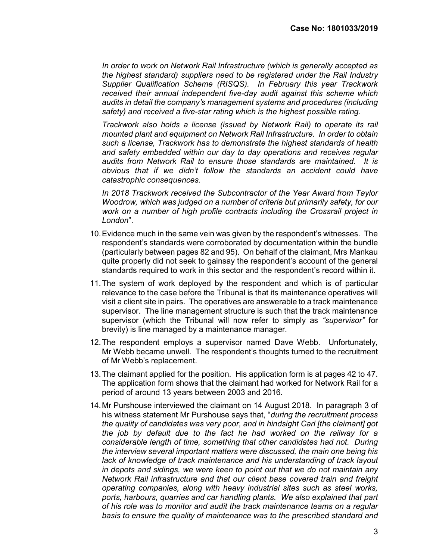In order to work on Network Rail Infrastructure (which is generally accepted as the highest standard) suppliers need to be registered under the Rail Industry Supplier Qualification Scheme (RISQS). In February this year Trackwork received their annual independent five-day audit against this scheme which audits in detail the company's management systems and procedures (including safety) and received a five-star rating which is the highest possible rating.

Trackwork also holds a license (issued by Network Rail) to operate its rail mounted plant and equipment on Network Rail Infrastructure. In order to obtain such a license, Trackwork has to demonstrate the highest standards of health and safety embedded within our day to day operations and receives regular audits from Network Rail to ensure those standards are maintained. It is obvious that if we didn't follow the standards an accident could have catastrophic consequences.

In 2018 Trackwork received the Subcontractor of the Year Award from Taylor Woodrow, which was judged on a number of criteria but primarily safety, for our work on a number of high profile contracts including the Crossrail project in London".

- 10. Evidence much in the same vein was given by the respondent's witnesses. The respondent's standards were corroborated by documentation within the bundle (particularly between pages 82 and 95). On behalf of the claimant, Mrs Mankau quite properly did not seek to gainsay the respondent's account of the general standards required to work in this sector and the respondent's record within it.
- 11. The system of work deployed by the respondent and which is of particular relevance to the case before the Tribunal is that its maintenance operatives will visit a client site in pairs. The operatives are answerable to a track maintenance supervisor. The line management structure is such that the track maintenance supervisor (which the Tribunal will now refer to simply as "supervisor" for brevity) is line managed by a maintenance manager.
- 12. The respondent employs a supervisor named Dave Webb. Unfortunately, Mr Webb became unwell. The respondent's thoughts turned to the recruitment of Mr Webb's replacement.
- 13. The claimant applied for the position. His application form is at pages 42 to 47. The application form shows that the claimant had worked for Network Rail for a period of around 13 years between 2003 and 2016.
- 14. Mr Purshouse interviewed the claimant on 14 August 2018. In paragraph 3 of his witness statement Mr Purshouse says that, "*during the recruitment process* the quality of candidates was very poor, and in hindsight Carl [the claimant] got the job by default due to the fact he had worked on the railway for a considerable length of time, something that other candidates had not. During the interview several important matters were discussed, the main one being his lack of knowledge of track maintenance and his understanding of track layout in depots and sidings, we were keen to point out that we do not maintain any Network Rail infrastructure and that our client base covered train and freight operating companies, along with heavy industrial sites such as steel works, ports, harbours, quarries and car handling plants. We also explained that part of his role was to monitor and audit the track maintenance teams on a regular basis to ensure the quality of maintenance was to the prescribed standard and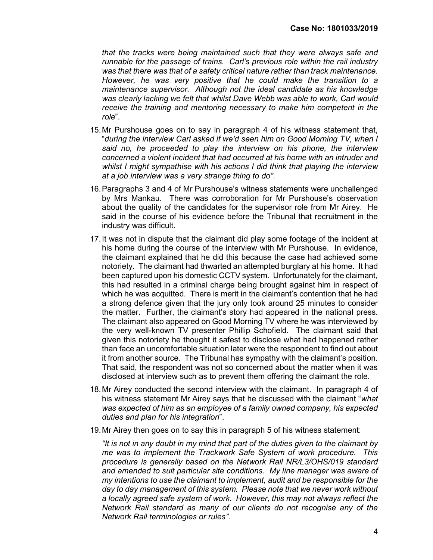that the tracks were being maintained such that they were always safe and runnable for the passage of trains. Carl's previous role within the rail industry was that there was that of a safety critical nature rather than track maintenance. However, he was very positive that he could make the transition to a maintenance supervisor. Although not the ideal candidate as his knowledge was clearly lacking we felt that whilst Dave Webb was able to work, Carl would receive the training and mentoring necessary to make him competent in the role".

- 15. Mr Purshouse goes on to say in paragraph 4 of his witness statement that, "during the interview Carl asked if we'd seen him on Good Morning TV, when I said no, he proceeded to play the interview on his phone, the interview concerned a violent incident that had occurred at his home with an intruder and whilst I might sympathise with his actions I did think that playing the interview at a job interview was a very strange thing to do".
- 16. Paragraphs 3 and 4 of Mr Purshouse's witness statements were unchallenged by Mrs Mankau. There was corroboration for Mr Purshouse's observation about the quality of the candidates for the supervisor role from Mr Airey. He said in the course of his evidence before the Tribunal that recruitment in the industry was difficult.
- 17. It was not in dispute that the claimant did play some footage of the incident at his home during the course of the interview with Mr Purshouse. In evidence, the claimant explained that he did this because the case had achieved some notoriety. The claimant had thwarted an attempted burglary at his home. It had been captured upon his domestic CCTV system. Unfortunately for the claimant, this had resulted in a criminal charge being brought against him in respect of which he was acquitted. There is merit in the claimant's contention that he had a strong defence given that the jury only took around 25 minutes to consider the matter. Further, the claimant's story had appeared in the national press. The claimant also appeared on Good Morning TV where he was interviewed by the very well-known TV presenter Phillip Schofield. The claimant said that given this notoriety he thought it safest to disclose what had happened rather than face an uncomfortable situation later were the respondent to find out about it from another source. The Tribunal has sympathy with the claimant's position. That said, the respondent was not so concerned about the matter when it was disclosed at interview such as to prevent them offering the claimant the role.
- 18. Mr Airey conducted the second interview with the claimant. In paragraph 4 of his witness statement Mr Airey says that he discussed with the claimant "what was expected of him as an employee of a family owned company, his expected duties and plan for his integration".
- 19. Mr Airey then goes on to say this in paragraph 5 of his witness statement:

"It is not in any doubt in my mind that part of the duties given to the claimant by me was to implement the Trackwork Safe System of work procedure. This procedure is generally based on the Network Rail NR/L3/OHS/019 standard and amended to suit particular site conditions. My line manager was aware of my intentions to use the claimant to implement, audit and be responsible for the day to day management of this system. Please note that we never work without a locally agreed safe system of work. However, this may not always reflect the Network Rail standard as many of our clients do not recognise any of the Network Rail terminologies or rules".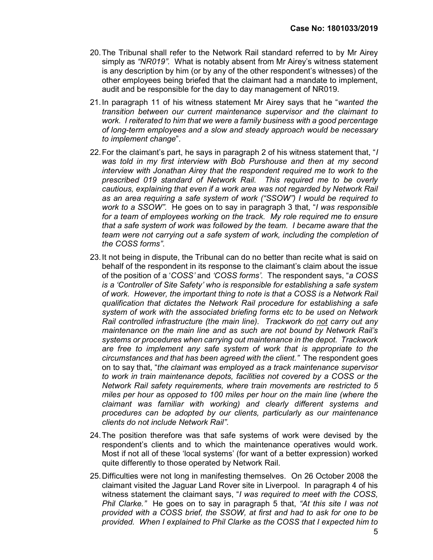- 20. The Tribunal shall refer to the Network Rail standard referred to by Mr Airey simply as "NR019". What is notably absent from Mr Airey's witness statement is any description by him (or by any of the other respondent's witnesses) of the other employees being briefed that the claimant had a mandate to implement, audit and be responsible for the day to day management of NR019.
- 21. In paragraph 11 of his witness statement Mr Airey says that he "wanted the transition between our current maintenance supervisor and the claimant to work. I reiterated to him that we were a family business with a good percentage of long-term employees and a slow and steady approach would be necessary to implement change".
- 22. For the claimant's part, he says in paragraph 2 of his witness statement that, "I was told in my first interview with Bob Purshouse and then at my second interview with Jonathan Airey that the respondent required me to work to the prescribed 019 standard of Network Rail. This required me to be overly cautious, explaining that even if a work area was not regarded by Network Rail as an area requiring a safe system of work ("SSOW") I would be required to work to a SSOW". He goes on to say in paragraph 3 that, "I was responsible for a team of employees working on the track. My role required me to ensure that a safe system of work was followed by the team. I became aware that the team were not carrying out a safe system of work, including the completion of the COSS forms".
- 23. It not being in dispute, the Tribunal can do no better than recite what is said on behalf of the respondent in its response to the claimant's claim about the issue of the position of a 'COSS' and 'COSS forms'. The respondent says, "a COSS is a 'Controller of Site Safety' who is responsible for establishing a safe system of work. However, the important thing to note is that a COSS is a Network Rail qualification that dictates the Network Rail procedure for establishing a safe system of work with the associated briefing forms etc to be used on Network Rail controlled infrastructure (the main line). Trackwork do not carry out any maintenance on the main line and as such are not bound by Network Rail's systems or procedures when carrying out maintenance in the depot. Trackwork are free to implement any safe system of work that is appropriate to the circumstances and that has been agreed with the client." The respondent goes on to say that, "the claimant was employed as a track maintenance supervisor to work in train maintenance depots, facilities not covered by a COSS or the Network Rail safety requirements, where train movements are restricted to 5 miles per hour as opposed to 100 miles per hour on the main line (where the claimant was familiar with working) and clearly different systems and procedures can be adopted by our clients, particularly as our maintenance clients do not include Network Rail".
- 24. The position therefore was that safe systems of work were devised by the respondent's clients and to which the maintenance operatives would work. Most if not all of these 'local systems' (for want of a better expression) worked quite differently to those operated by Network Rail.
- 25. Difficulties were not long in manifesting themselves. On 26 October 2008 the claimant visited the Jaguar Land Rover site in Liverpool. In paragraph 4 of his witness statement the claimant says, "I was required to meet with the COSS, Phil Clarke." He goes on to say in paragraph 5 that, "At this site I was not provided with a COSS brief, the SSOW, at first and had to ask for one to be provided. When I explained to Phil Clarke as the COSS that I expected him to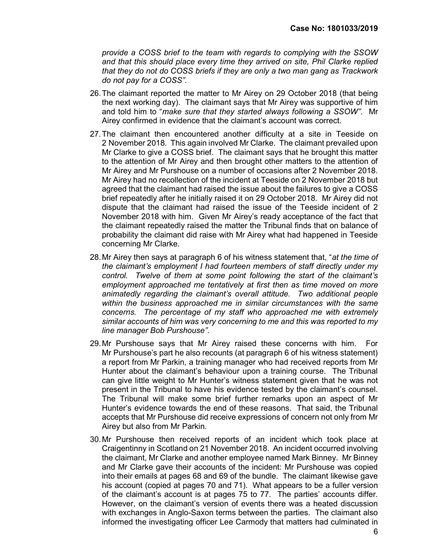provide a COSS brief to the team with regards to complying with the SSOW and that this should place every time they arrived on site, Phil Clarke replied that they do not do COSS briefs if they are only a two man gang as Trackwork do not pay for a COSS".

- 26. The claimant reported the matter to Mr Airey on 29 October 2018 (that being the next working day). The claimant says that Mr Airey was supportive of him and told him to "make sure that they started always following a SSOW". Mr Airey confirmed in evidence that the claimant's account was correct.
- 27. The claimant then encountered another difficulty at a site in Teeside on 2 November 2018. This again involved Mr Clarke. The claimant prevailed upon Mr Clarke to give a COSS brief. The claimant says that he brought this matter to the attention of Mr Airey and then brought other matters to the attention of Mr Airey and Mr Purshouse on a number of occasions after 2 November 2018. Mr Airey had no recollection of the incident at Teeside on 2 November 2018 but agreed that the claimant had raised the issue about the failures to give a COSS brief repeatedly after he initially raised it on 29 October 2018. Mr Airey did not dispute that the claimant had raised the issue of the Teeside incident of 2 November 2018 with him. Given Mr Airey's ready acceptance of the fact that the claimant repeatedly raised the matter the Tribunal finds that on balance of probability the claimant did raise with Mr Airey what had happened in Teeside concerning Mr Clarke.
- 28. Mr Airey then says at paragraph 6 of his witness statement that, "at the time of the claimant's employment I had fourteen members of staff directly under my control. Twelve of them at some point following the start of the claimant's employment approached me tentatively at first then as time moved on more animatedly regarding the claimant's overall attitude. Two additional people within the business approached me in similar circumstances with the same concerns. The percentage of my staff who approached me with extremely similar accounts of him was very concerning to me and this was reported to my line manager Bob Purshouse".
- 29. Mr Purshouse says that Mr Airey raised these concerns with him. For Mr Purshouse's part he also recounts (at paragraph 6 of his witness statement) a report from Mr Parkin, a training manager who had received reports from Mr Hunter about the claimant's behaviour upon a training course. The Tribunal can give little weight to Mr Hunter's witness statement given that he was not present in the Tribunal to have his evidence tested by the claimant's counsel. The Tribunal will make some brief further remarks upon an aspect of Mr Hunter's evidence towards the end of these reasons. That said, the Tribunal accepts that Mr Purshouse did receive expressions of concern not only from Mr Airey but also from Mr Parkin.
- 30. Mr Purshouse then received reports of an incident which took place at Craigentinny in Scotland on 21 November 2018. An incident occurred involving the claimant, Mr Clarke and another employee named Mark Binney. Mr Binney and Mr Clarke gave their accounts of the incident: Mr Purshouse was copied into their emails at pages 68 and 69 of the bundle. The claimant likewise gave his account (copied at pages 70 and 71). What appears to be a fuller version of the claimant's account is at pages 75 to 77. The parties' accounts differ. However, on the claimant's version of events there was a heated discussion with exchanges in Anglo-Saxon terms between the parties. The claimant also informed the investigating officer Lee Carmody that matters had culminated in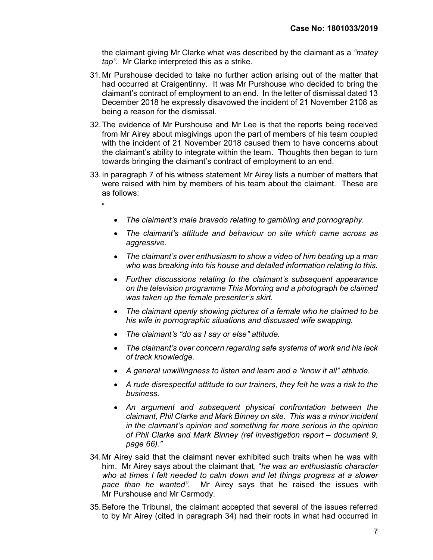the claimant giving Mr Clarke what was described by the claimant as a "matey" tap". Mr Clarke interpreted this as a strike.

- 31. Mr Purshouse decided to take no further action arising out of the matter that had occurred at Craigentinny. It was Mr Purshouse who decided to bring the claimant's contract of employment to an end. In the letter of dismissal dated 13 December 2018 he expressly disavowed the incident of 21 November 2108 as being a reason for the dismissal.
- 32. The evidence of Mr Purshouse and Mr Lee is that the reports being received from Mr Airey about misgivings upon the part of members of his team coupled with the incident of 21 November 2018 caused them to have concerns about the claimant's ability to integrate within the team. Thoughts then began to turn towards bringing the claimant's contract of employment to an end.
- 33. In paragraph 7 of his witness statement Mr Airey lists a number of matters that were raised with him by members of his team about the claimant. These are as follows:

 $\mu$ 

- The claimant's male bravado relating to gambling and pornography.
- The claimant's attitude and behaviour on site which came across as aggressive.
- The claimant's over enthusiasm to show a video of him beating up a man who was breaking into his house and detailed information relating to this.
- Further discussions relating to the claimant's subsequent appearance on the television programme This Morning and a photograph he claimed was taken up the female presenter's skirt.
- The claimant openly showing pictures of a female who he claimed to be his wife in pornographic situations and discussed wife swapping.
- The claimant's "do as I say or else" attitude.
- The claimant's over concern regarding safe systems of work and his lack of track knowledge.
- A general unwillingness to listen and learn and a "know it all" attitude.
- A rude disrespectful attitude to our trainers, they felt he was a risk to the business.
- An argument and subsequent physical confrontation between the claimant, Phil Clarke and Mark Binney on site. This was a minor incident in the claimant's opinion and something far more serious in the opinion of Phil Clarke and Mark Binney (ref investigation report – document 9, page 66)."
- 34. Mr Airey said that the claimant never exhibited such traits when he was with him. Mr Airey says about the claimant that, "he was an enthusiastic character who at times I felt needed to calm down and let things progress at a slower pace than he wanted". Mr Airey says that he raised the issues with Mr Purshouse and Mr Carmody.
- 35. Before the Tribunal, the claimant accepted that several of the issues referred to by Mr Airey (cited in paragraph 34) had their roots in what had occurred in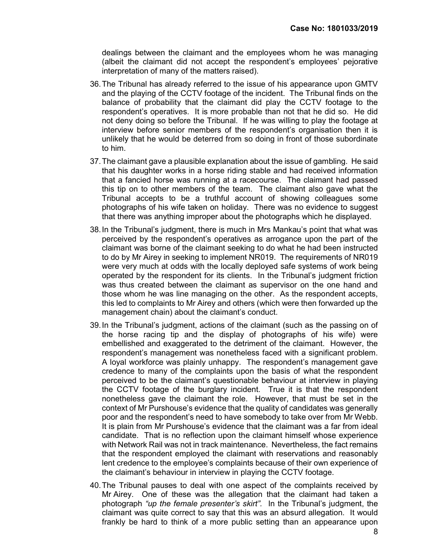dealings between the claimant and the employees whom he was managing (albeit the claimant did not accept the respondent's employees' pejorative interpretation of many of the matters raised).

- 36. The Tribunal has already referred to the issue of his appearance upon GMTV and the playing of the CCTV footage of the incident. The Tribunal finds on the balance of probability that the claimant did play the CCTV footage to the respondent's operatives. It is more probable than not that he did so. He did not deny doing so before the Tribunal. If he was willing to play the footage at interview before senior members of the respondent's organisation then it is unlikely that he would be deterred from so doing in front of those subordinate to him.
- 37. The claimant gave a plausible explanation about the issue of gambling. He said that his daughter works in a horse riding stable and had received information that a fancied horse was running at a racecourse. The claimant had passed this tip on to other members of the team. The claimant also gave what the Tribunal accepts to be a truthful account of showing colleagues some photographs of his wife taken on holiday. There was no evidence to suggest that there was anything improper about the photographs which he displayed.
- 38. In the Tribunal's judgment, there is much in Mrs Mankau's point that what was perceived by the respondent's operatives as arrogance upon the part of the claimant was borne of the claimant seeking to do what he had been instructed to do by Mr Airey in seeking to implement NR019. The requirements of NR019 were very much at odds with the locally deployed safe systems of work being operated by the respondent for its clients. In the Tribunal's judgment friction was thus created between the claimant as supervisor on the one hand and those whom he was line managing on the other. As the respondent accepts, this led to complaints to Mr Airey and others (which were then forwarded up the management chain) about the claimant's conduct.
- 39. In the Tribunal's judgment, actions of the claimant (such as the passing on of the horse racing tip and the display of photographs of his wife) were embellished and exaggerated to the detriment of the claimant. However, the respondent's management was nonetheless faced with a significant problem. A loyal workforce was plainly unhappy. The respondent's management gave credence to many of the complaints upon the basis of what the respondent perceived to be the claimant's questionable behaviour at interview in playing the CCTV footage of the burglary incident. True it is that the respondent nonetheless gave the claimant the role. However, that must be set in the context of Mr Purshouse's evidence that the quality of candidates was generally poor and the respondent's need to have somebody to take over from Mr Webb. It is plain from Mr Purshouse's evidence that the claimant was a far from ideal candidate. That is no reflection upon the claimant himself whose experience with Network Rail was not in track maintenance. Nevertheless, the fact remains that the respondent employed the claimant with reservations and reasonably lent credence to the employee's complaints because of their own experience of the claimant's behaviour in interview in playing the CCTV footage.
- 40. The Tribunal pauses to deal with one aspect of the complaints received by Mr Airey. One of these was the allegation that the claimant had taken a photograph "up the female presenter's skirt". In the Tribunal's judgment, the claimant was quite correct to say that this was an absurd allegation. It would frankly be hard to think of a more public setting than an appearance upon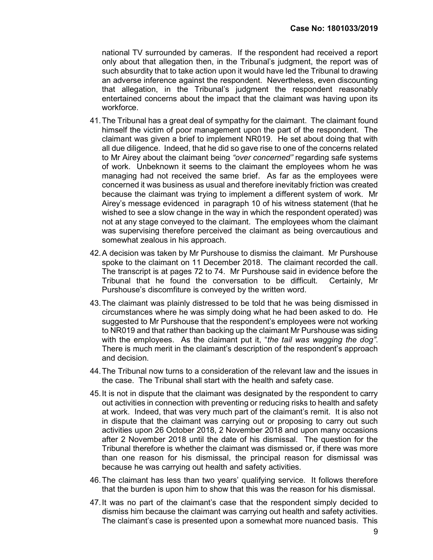national TV surrounded by cameras. If the respondent had received a report only about that allegation then, in the Tribunal's judgment, the report was of such absurdity that to take action upon it would have led the Tribunal to drawing an adverse inference against the respondent. Nevertheless, even discounting that allegation, in the Tribunal's judgment the respondent reasonably entertained concerns about the impact that the claimant was having upon its workforce.

- 41. The Tribunal has a great deal of sympathy for the claimant. The claimant found himself the victim of poor management upon the part of the respondent. The claimant was given a brief to implement NR019. He set about doing that with all due diligence. Indeed, that he did so gave rise to one of the concerns related to Mr Airey about the claimant being "over concerned" regarding safe systems of work. Unbeknown it seems to the claimant the employees whom he was managing had not received the same brief. As far as the employees were concerned it was business as usual and therefore inevitably friction was created because the claimant was trying to implement a different system of work. Mr Airey's message evidenced in paragraph 10 of his witness statement (that he wished to see a slow change in the way in which the respondent operated) was not at any stage conveyed to the claimant. The employees whom the claimant was supervising therefore perceived the claimant as being overcautious and somewhat zealous in his approach.
- 42. A decision was taken by Mr Purshouse to dismiss the claimant. Mr Purshouse spoke to the claimant on 11 December 2018. The claimant recorded the call. The transcript is at pages 72 to 74. Mr Purshouse said in evidence before the Tribunal that he found the conversation to be difficult. Certainly, Mr Purshouse's discomfiture is conveyed by the written word.
- 43. The claimant was plainly distressed to be told that he was being dismissed in circumstances where he was simply doing what he had been asked to do. He suggested to Mr Purshouse that the respondent's employees were not working to NR019 and that rather than backing up the claimant Mr Purshouse was siding with the employees. As the claimant put it, "the tail was wagging the dog". There is much merit in the claimant's description of the respondent's approach and decision.
- 44. The Tribunal now turns to a consideration of the relevant law and the issues in the case. The Tribunal shall start with the health and safety case.
- 45. It is not in dispute that the claimant was designated by the respondent to carry out activities in connection with preventing or reducing risks to health and safety at work. Indeed, that was very much part of the claimant's remit. It is also not in dispute that the claimant was carrying out or proposing to carry out such activities upon 26 October 2018, 2 November 2018 and upon many occasions after 2 November 2018 until the date of his dismissal. The question for the Tribunal therefore is whether the claimant was dismissed or, if there was more than one reason for his dismissal, the principal reason for dismissal was because he was carrying out health and safety activities.
- 46. The claimant has less than two years' qualifying service. It follows therefore that the burden is upon him to show that this was the reason for his dismissal.
- 47. It was no part of the claimant's case that the respondent simply decided to dismiss him because the claimant was carrying out health and safety activities. The claimant's case is presented upon a somewhat more nuanced basis. This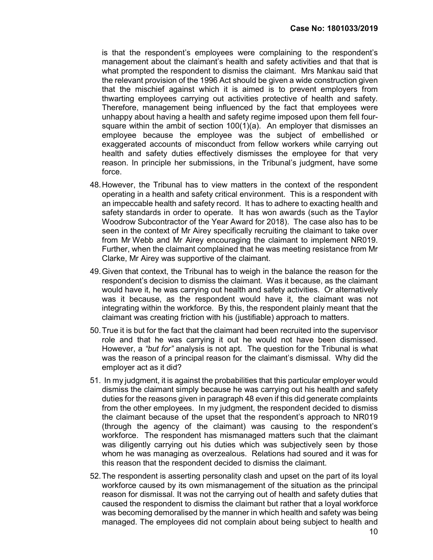is that the respondent's employees were complaining to the respondent's management about the claimant's health and safety activities and that that is what prompted the respondent to dismiss the claimant. Mrs Mankau said that the relevant provision of the 1996 Act should be given a wide construction given that the mischief against which it is aimed is to prevent employers from thwarting employees carrying out activities protective of health and safety. Therefore, management being influenced by the fact that employees were unhappy about having a health and safety regime imposed upon them fell foursquare within the ambit of section  $100(1)(a)$ . An employer that dismisses an employee because the employee was the subject of embellished or exaggerated accounts of misconduct from fellow workers while carrying out health and safety duties effectively dismisses the employee for that very reason. In principle her submissions, in the Tribunal's judgment, have some force.

- 48. However, the Tribunal has to view matters in the context of the respondent operating in a health and safety critical environment. This is a respondent with an impeccable health and safety record. It has to adhere to exacting health and safety standards in order to operate. It has won awards (such as the Taylor Woodrow Subcontractor of the Year Award for 2018). The case also has to be seen in the context of Mr Airey specifically recruiting the claimant to take over from Mr Webb and Mr Airey encouraging the claimant to implement NR019. Further, when the claimant complained that he was meeting resistance from Mr Clarke, Mr Airey was supportive of the claimant.
- 49. Given that context, the Tribunal has to weigh in the balance the reason for the respondent's decision to dismiss the claimant. Was it because, as the claimant would have it, he was carrying out health and safety activities. Or alternatively was it because, as the respondent would have it, the claimant was not integrating within the workforce. By this, the respondent plainly meant that the claimant was creating friction with his (justifiable) approach to matters.
- 50. True it is but for the fact that the claimant had been recruited into the supervisor role and that he was carrying it out he would not have been dismissed. However, a "but for" analysis is not apt. The question for the Tribunal is what was the reason of a principal reason for the claimant's dismissal. Why did the employer act as it did?
- 51. In my judgment, it is against the probabilities that this particular employer would dismiss the claimant simply because he was carrying out his health and safety duties for the reasons given in paragraph 48 even if this did generate complaints from the other employees. In my judgment, the respondent decided to dismiss the claimant because of the upset that the respondent's approach to NR019 (through the agency of the claimant) was causing to the respondent's workforce. The respondent has mismanaged matters such that the claimant was diligently carrying out his duties which was subjectively seen by those whom he was managing as overzealous. Relations had soured and it was for this reason that the respondent decided to dismiss the claimant.
- 52. The respondent is asserting personality clash and upset on the part of its loyal workforce caused by its own mismanagement of the situation as the principal reason for dismissal. It was not the carrying out of health and safety duties that caused the respondent to dismiss the claimant but rather that a loyal workforce was becoming demoralised by the manner in which health and safety was being managed. The employees did not complain about being subject to health and